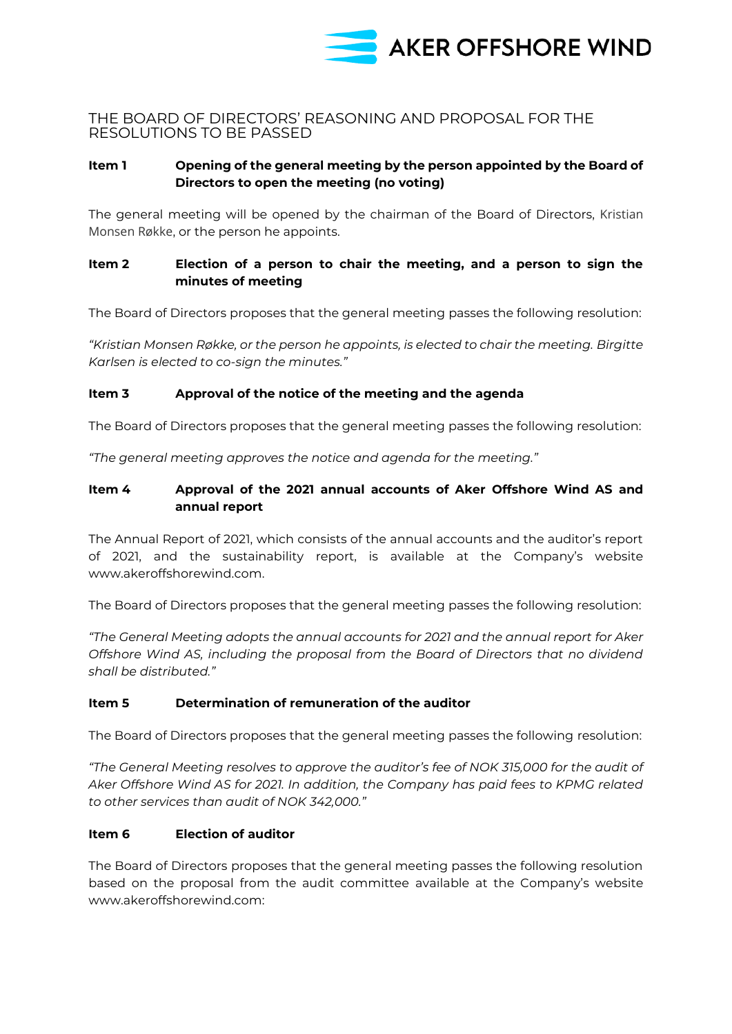

## THE BOARD OF DIRECTORS' REASONING AND PROPOSAL FOR THE RESOLUTIONS TO BE PASSED

### **Item 1 Opening of the general meeting by the person appointed by the Board of Directors to open the meeting (no voting)**

The general meeting will be opened by the chairman of the Board of Directors, Kristian Monsen Røkke, or the person he appoints.

## **Item 2 Election of a person to chair the meeting, and a person to sign the minutes of meeting**

The Board of Directors proposes that the general meeting passes the following resolution:

*"Kristian Monsen Røkke, or the person he appoints, is elected to chair the meeting. Birgitte Karlsen is elected to co-sign the minutes."*

#### **Item 3 Approval of the notice of the meeting and the agenda**

The Board of Directors proposes that the general meeting passes the following resolution:

*"The general meeting approves the notice and agenda for the meeting."*

### **Item 4 Approval of the 2021 annual accounts of Aker Offshore Wind AS and annual report**

The Annual Report of 2021, which consists of the annual accounts and the auditor's report of 2021, and the sustainability report, is available at the Company's website [www.akeroffshorewind.com.](http://www.akeroffshorewind.com/)

The Board of Directors proposes that the general meeting passes the following resolution:

*"The General Meeting adopts the annual accounts for 2021 and the annual report for Aker Offshore Wind AS, including the proposal from the Board of Directors that no dividend shall be distributed."* 

### **Item 5 Determination of remuneration of the auditor**

The Board of Directors proposes that the general meeting passes the following resolution:

*"The General Meeting resolves to approve the auditor's fee of NOK 315,000 for the audit of Aker Offshore Wind AS for 2021. In addition, the Company has paid fees to KPMG related to other services than audit of NOK 342,000."*

#### **Item 6 Election of auditor**

The Board of Directors proposes that the general meeting passes the following resolution based on the proposal from the audit committee available at the Company's website [www.akeroffshorewind.com:](http://www.akeroffshorewind.com/)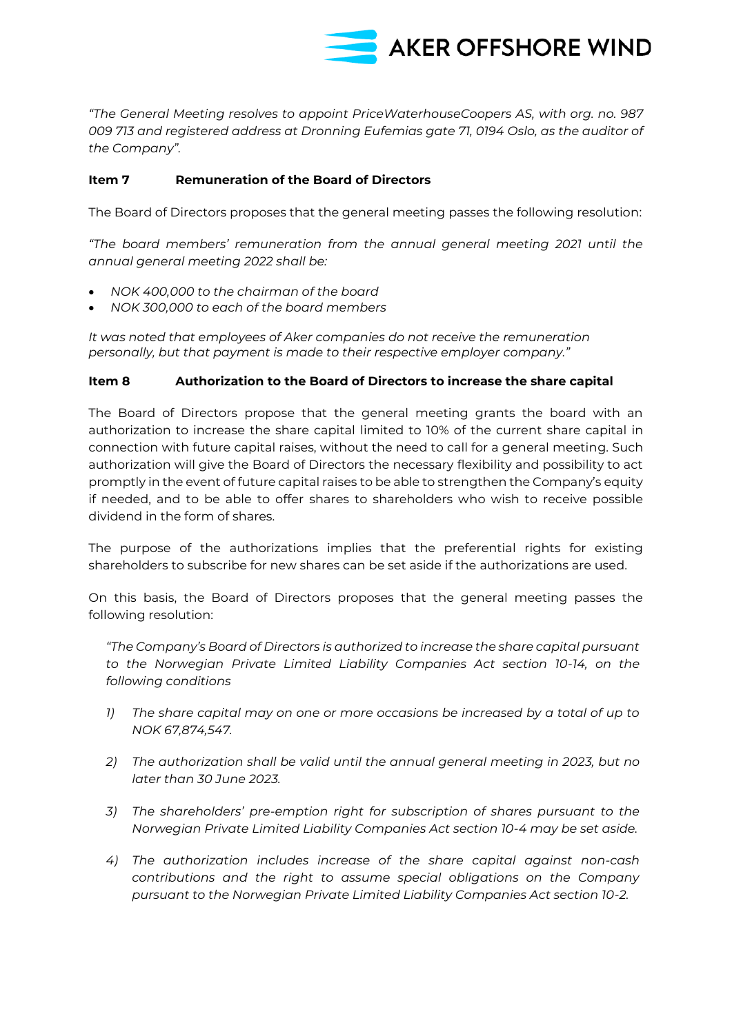

*"The General Meeting resolves to appoint PriceWaterhouseCoopers AS, with org. no. 987 009 713 and registered address at Dronning Eufemias gate 71, 0194 Oslo, as the auditor of the Company".* 

### **Item 7 Remuneration of the Board of Directors**

The Board of Directors proposes that the general meeting passes the following resolution:

*"The board members' remuneration from the annual general meeting 2021 until the annual general meeting 2022 shall be:*

- *NOK 400,000 to the chairman of the board*
- *NOK 300,000 to each of the board members*

*It was noted that employees of Aker companies do not receive the remuneration personally, but that payment is made to their respective employer company."*

#### **Item 8 Authorization to the Board of Directors to increase the share capital**

The Board of Directors propose that the general meeting grants the board with an authorization to increase the share capital limited to 10% of the current share capital in connection with future capital raises, without the need to call for a general meeting. Such authorization will give the Board of Directors the necessary flexibility and possibility to act promptly in the event of future capital raises to be able to strengthen the Company's equity if needed, and to be able to offer shares to shareholders who wish to receive possible dividend in the form of shares.

The purpose of the authorizations implies that the preferential rights for existing shareholders to subscribe for new shares can be set aside if the authorizations are used.

On this basis, the Board of Directors proposes that the general meeting passes the following resolution:

*"The Company's Board of Directors is authorized to increase the share capital pursuant to the Norwegian Private Limited Liability Companies Act section 10-14, on the following conditions*

- *1) The share capital may on one or more occasions be increased by a total of up to NOK 67,874,547.*
- *2) The authorization shall be valid until the annual general meeting in 2023, but no later than 30 June 2023.*
- *3) The shareholders' pre-emption right for subscription of shares pursuant to the Norwegian Private Limited Liability Companies Act section 10-4 may be set aside.*
- *4) The authorization includes increase of the share capital against non-cash contributions and the right to assume special obligations on the Company pursuant to the Norwegian Private Limited Liability Companies Act section 10-2.*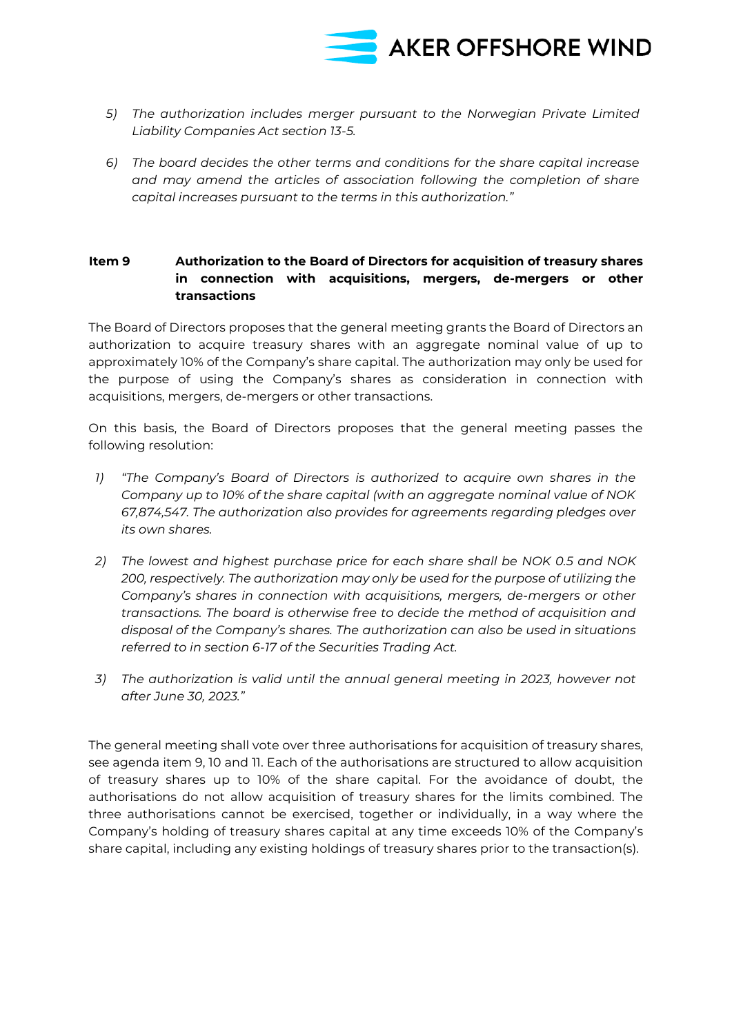

- *5) The authorization includes merger pursuant to the Norwegian Private Limited Liability Companies Act section 13-5.*
- *6) The board decides the other terms and conditions for the share capital increase and may amend the articles of association following the completion of share capital increases pursuant to the terms in this authorization."*

## **Item 9 Authorization to the Board of Directors for acquisition of treasury shares in connection with acquisitions, mergers, de-mergers or other transactions**

The Board of Directors proposes that the general meeting grants the Board of Directors an authorization to acquire treasury shares with an aggregate nominal value of up to approximately 10% of the Company's share capital. The authorization may only be used for the purpose of using the Company's shares as consideration in connection with acquisitions, mergers, de-mergers or other transactions.

On this basis, the Board of Directors proposes that the general meeting passes the following resolution:

- *1) "The Company's Board of Directors is authorized to acquire own shares in the Company up to 10% of the share capital (with an aggregate nominal value of NOK 67,874,547. The authorization also provides for agreements regarding pledges over its own shares.*
- *2) The lowest and highest purchase price for each share shall be NOK 0.5 and NOK 200, respectively. The authorization may only be used for the purpose of utilizing the Company's shares in connection with acquisitions, mergers, de-mergers or other transactions. The board is otherwise free to decide the method of acquisition and disposal of the Company's shares. The authorization can also be used in situations referred to in section 6-17 of the Securities Trading Act.*
- *3) The authorization is valid until the annual general meeting in 2023, however not after June 30, 2023."*

The general meeting shall vote over three authorisations for acquisition of treasury shares, see agenda item 9, 10 and 11. Each of the authorisations are structured to allow acquisition of treasury shares up to 10% of the share capital. For the avoidance of doubt, the authorisations do not allow acquisition of treasury shares for the limits combined. The three authorisations cannot be exercised, together or individually, in a way where the Company's holding of treasury shares capital at any time exceeds 10% of the Company's share capital, including any existing holdings of treasury shares prior to the transaction(s).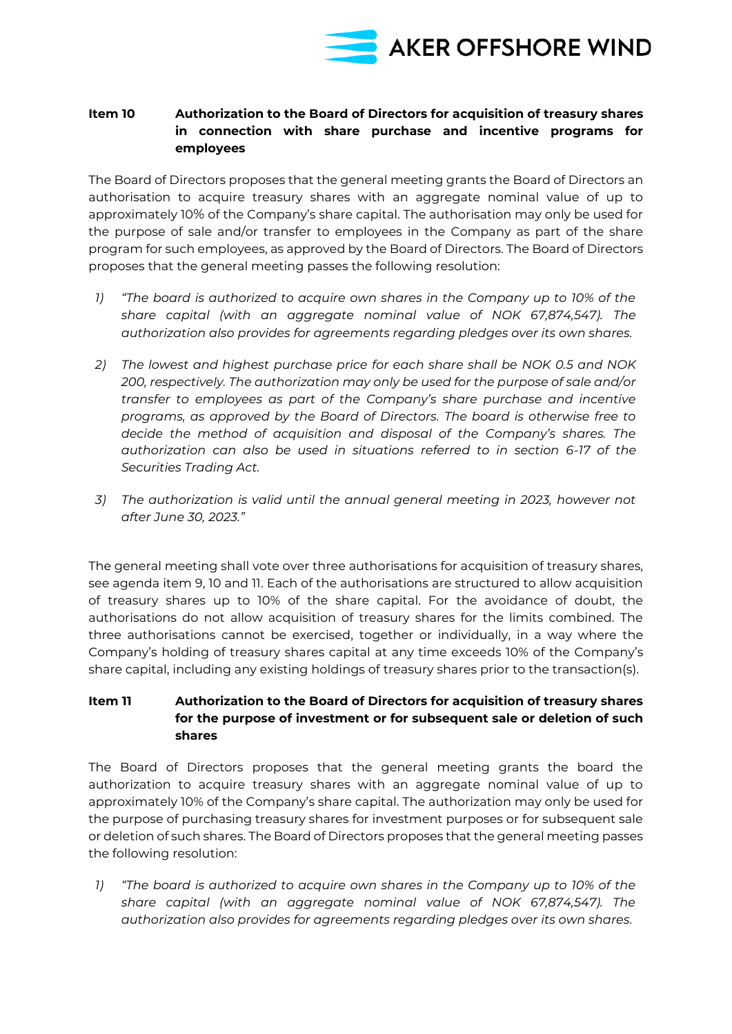

### **Item 10 Authorization to the Board of Directors for acquisition of treasury shares in connection with share purchase and incentive programs for employees**

The Board of Directors proposes that the general meeting grants the Board of Directors an authorisation to acquire treasury shares with an aggregate nominal value of up to approximately 10% of the Company's share capital. The authorisation may only be used for the purpose of sale and/or transfer to employees in the Company as part of the share program for such employees, as approved by the Board of Directors. The Board of Directors proposes that the general meeting passes the following resolution:

- *1) "The board is authorized to acquire own shares in the Company up to 10% of the share capital (with an aggregate nominal value of NOK 67,874,547). The authorization also provides for agreements regarding pledges over its own shares.*
- *2) The lowest and highest purchase price for each share shall be NOK 0.5 and NOK 200, respectively. The authorization may only be used for the purpose of sale and/or transfer to employees as part of the Company's share purchase and incentive programs, as approved by the Board of Directors. The board is otherwise free to decide the method of acquisition and disposal of the Company's shares. The authorization can also be used in situations referred to in section 6-17 of the Securities Trading Act.*
- *3) The authorization is valid until the annual general meeting in 2023, however not after June 30, 2023."*

The general meeting shall vote over three authorisations for acquisition of treasury shares, see agenda item 9, 10 and 11. Each of the authorisations are structured to allow acquisition of treasury shares up to 10% of the share capital. For the avoidance of doubt, the authorisations do not allow acquisition of treasury shares for the limits combined. The three authorisations cannot be exercised, together or individually, in a way where the Company's holding of treasury shares capital at any time exceeds 10% of the Company's share capital, including any existing holdings of treasury shares prior to the transaction(s).

# **Item 11 Authorization to the Board of Directors for acquisition of treasury shares for the purpose of investment or for subsequent sale or deletion of such shares**

The Board of Directors proposes that the general meeting grants the board the authorization to acquire treasury shares with an aggregate nominal value of up to approximately 10% of the Company's share capital. The authorization may only be used for the purpose of purchasing treasury shares for investment purposes or for subsequent sale or deletion of such shares. The Board of Directors proposes that the general meeting passes the following resolution:

*1) "The board is authorized to acquire own shares in the Company up to 10% of the share capital (with an aggregate nominal value of NOK 67,874,547). The authorization also provides for agreements regarding pledges over its own shares.*